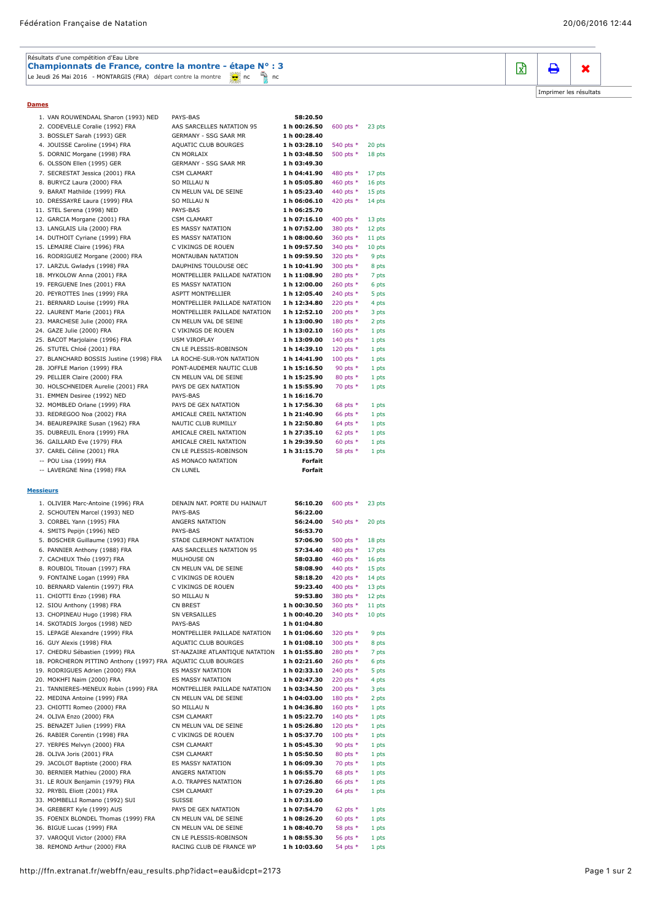| Résultats d'une compétition d'Eau Libre                                  |  |  |  |  |
|--------------------------------------------------------------------------|--|--|--|--|
| Championnats de France, contre la montre - étape N° : 3                  |  |  |  |  |
| Le Jeudi 26 Mai 2016 - MONTARGIS (FRA) départ contre la montre de nombre |  |  |  |  |

**Dames**

|                  | 1. VAN ROUWENDAAL Sharon (1993) NED                           | PAYS-BAS                       | 58:20.50     |             |        |  |  |  |
|------------------|---------------------------------------------------------------|--------------------------------|--------------|-------------|--------|--|--|--|
|                  | 2. CODEVELLE Coralie (1992) FRA                               | AAS SARCELLES NATATION 95      | 1 h 00:26.50 | 600 pts $*$ | 23 pts |  |  |  |
|                  | 3. BOSSLET Sarah (1993) GER                                   | GERMANY - SSG SAAR MR          | 1 h 00:28.40 |             |        |  |  |  |
|                  | 4. JOUISSE Caroline (1994) FRA                                | AQUATIC CLUB BOURGES           | 1 h 03:28.10 | 540 pts *   | 20 pts |  |  |  |
|                  | 5. DORNIC Morgane (1998) FRA                                  | CN MORLAIX                     | 1 h 03:48.50 | 500 pts *   | 18 pts |  |  |  |
|                  | 6. OLSSON Ellen (1995) GER                                    | GERMANY - SSG SAAR MR          | 1 h 03:49.30 |             |        |  |  |  |
|                  | 7. SECRESTAT Jessica (2001) FRA                               | <b>CSM CLAMART</b>             | 1 h 04:41.90 | 480 pts *   | 17 pts |  |  |  |
|                  | 8. BURYCZ Laura (2000) FRA                                    | SO MILLAU N                    | 1 h 05:05.80 | 460 pts *   | 16 pts |  |  |  |
|                  | 9. BARAT Mathilde (1999) FRA                                  | CN MELUN VAL DE SEINE          | 1 h 05:23.40 | 440 pts *   | 15 pts |  |  |  |
|                  | 10. DRESSAYRE Laura (1999) FRA                                | SO MILLAU N                    | 1 h 06:06.10 | 420 pts *   | 14 pts |  |  |  |
|                  |                                                               |                                |              |             |        |  |  |  |
|                  | 11. STEL Serena (1998) NED                                    | PAYS-BAS                       | 1 h 06:25.70 |             |        |  |  |  |
|                  | 12. GARCIA Morgane (2001) FRA                                 | <b>CSM CLAMART</b>             | 1 h 07:16.10 | 400 pts *   | 13 pts |  |  |  |
|                  | 13. LANGLAIS Lila (2000) FRA                                  | ES MASSY NATATION              | 1 h 07:52.00 | 380 pts *   | 12 pts |  |  |  |
|                  | 14. DUTHOIT Cyriane (1999) FRA                                | ES MASSY NATATION              | 1 h 08:00.60 | 360 pts *   | 11 pts |  |  |  |
|                  | 15. LEMAIRE Claire (1996) FRA                                 | C VIKINGS DE ROUEN             | 1 h 09:57.50 | 340 pts *   | 10 pts |  |  |  |
|                  | 16. RODRIGUEZ Morgane (2000) FRA                              | MONTAUBAN NATATION             | 1 h 09:59.50 | 320 pts *   | 9 pts  |  |  |  |
|                  | 17. LARZUL Gwladys (1998) FRA                                 | DAUPHINS TOULOUSE OEC          | 1 h 10:41.90 | 300 pts *   | 8 pts  |  |  |  |
|                  | 18. MYKOLOW Anna (2001) FRA                                   | MONTPELLIER PAILLADE NATATION  | 1 h 11:08.90 | 280 pts *   | 7 pts  |  |  |  |
|                  |                                                               |                                |              |             |        |  |  |  |
|                  | 19. FERGUENE Ines (2001) FRA                                  | ES MASSY NATATION              | 1 h 12:00.00 | 260 pts *   | 6 pts  |  |  |  |
|                  | 20. PEYROTTES Ines (1999) FRA                                 | ASPTT MONTPELLIER              | 1 h 12:05.40 | 240 pts *   | 5 pts  |  |  |  |
|                  | 21. BERNARD Louise (1999) FRA                                 | MONTPELLIER PAILLADE NATATION  | 1 h 12:34.80 | 220 pts *   | 4 pts  |  |  |  |
|                  | 22. LAURENT Marie (2001) FRA                                  | MONTPELLIER PAILLADE NATATION  | 1 h 12:52.10 | 200 pts $*$ | 3 pts  |  |  |  |
|                  | 23. MARCHESE Julie (2000) FRA                                 | CN MELUN VAL DE SEINE          | 1 h 13:00.90 | 180 pts *   | 2 pts  |  |  |  |
|                  | 24. GAZE Julie (2000) FRA                                     | C VIKINGS DE ROUEN             | 1 h 13:02.10 | 160 pts *   | 1 pts  |  |  |  |
|                  | 25. BACOT Marjolaine (1996) FRA                               | <b>USM VIROFLAY</b>            | 1 h 13:09.00 | 140 pts *   | 1 pts  |  |  |  |
|                  | 26. STUTEL Chloé (2001) FRA                                   | CN LE PLESSIS-ROBINSON         | 1 h 14:39.10 | 120 pts *   | 1 pts  |  |  |  |
|                  | 27. BLANCHARD BOSSIS Justine (1998) FRA                       | LA ROCHE-SUR-YON NATATION      | 1 h 14:41.90 | 100 pts $*$ | 1 pts  |  |  |  |
|                  | 28. JOFFLE Marion (1999) FRA                                  | PONT-AUDEMER NAUTIC CLUB       | 1 h 15:16.50 | 90 pts $*$  | 1 pts  |  |  |  |
|                  | 29. PELLIER Claire (2000) FRA                                 | CN MELUN VAL DE SEINE          | 1 h 15:25.90 | 80 pts $*$  | 1 pts  |  |  |  |
|                  |                                                               |                                |              |             |        |  |  |  |
|                  | 30. HOLSCHNEIDER Aurelie (2001) FRA                           | PAYS DE GEX NATATION           | 1 h 15:55.90 | 70 pts *    | 1 pts  |  |  |  |
|                  | 31. EMMEN Desiree (1992) NED                                  | PAYS-BAS                       | 1 h 16:16.70 |             |        |  |  |  |
|                  | 32. MOMBLED Orlane (1999) FRA                                 | PAYS DE GEX NATATION           | 1 h 17:56.30 | 68 pts $*$  | 1 pts  |  |  |  |
|                  | 33. REDREGOO Noa (2002) FRA                                   | AMICALE CREIL NATATION         | 1 h 21:40.90 | 66 pts $*$  | 1 pts  |  |  |  |
|                  | 34. BEAUREPAIRE Susan (1962) FRA                              | NAUTIC CLUB RUMILLY            | 1 h 22:50.80 | 64 pts $*$  | 1 pts  |  |  |  |
|                  | 35. DUBREUIL Enora (1999) FRA                                 | AMICALE CREIL NATATION         | 1 h 27:35.10 | 62 pts $*$  | 1 pts  |  |  |  |
|                  | 36. GAILLARD Eve (1979) FRA                                   | AMICALE CREIL NATATION         | 1 h 29:39.50 | 60 pts $*$  | 1 pts  |  |  |  |
|                  | 37. CAREL Céline (2001) FRA                                   | CN LE PLESSIS-ROBINSON         | 1 h 31:15.70 | 58 pts *    | 1 pts  |  |  |  |
|                  |                                                               | AS MONACO NATATION             | Forfait      |             |        |  |  |  |
|                  | -- POU Lisa (1999) FRA                                        |                                |              |             |        |  |  |  |
|                  | -- LAVERGNE Nina (1998) FRA                                   | CN LUNEL                       | Forfait      |             |        |  |  |  |
|                  |                                                               |                                |              |             |        |  |  |  |
|                  |                                                               |                                |              |             |        |  |  |  |
| <b>Messieurs</b> |                                                               |                                |              |             |        |  |  |  |
|                  |                                                               |                                |              |             |        |  |  |  |
|                  | 1. OLIVIER Marc-Antoine (1996) FRA                            | DENAIN NAT. PORTE DU HAINAUT   | 56:10.20     | 600 pts *   | 23 pts |  |  |  |
|                  | 2. SCHOUTEN Marcel (1993) NED                                 | PAYS-BAS                       | 56:22.00     |             |        |  |  |  |
|                  | 3. CORBEL Yann (1995) FRA                                     | ANGERS NATATION                | 56:24.00     | 540 pts *   | 20 pts |  |  |  |
|                  | 4. SMITS Pepijn (1996) NED                                    | PAYS-BAS                       | 56:53.70     |             |        |  |  |  |
|                  | 5. BOSCHER Guillaume (1993) FRA                               | STADE CLERMONT NATATION        | 57:06.90     | 500 pts *   | 18 pts |  |  |  |
|                  | 6. PANNIER Anthony (1988) FRA                                 | AAS SARCELLES NATATION 95      | 57:34.40     | 480 pts *   | 17 pts |  |  |  |
|                  | 7. CACHEUX Théo (1997) FRA                                    | MULHOUSE ON                    | 58:03.80     | 460 pts *   | 16 pts |  |  |  |
|                  | 8. ROUBIOL Titouan (1997) FRA                                 | CN MELUN VAL DE SEINE          | 58:08.90     | 440 pts *   | 15 pts |  |  |  |
|                  | 9. FONTAINE Logan (1999) FRA                                  | C VIKINGS DE ROUEN             | 58:18.20     | 420 pts *   | 14 pts |  |  |  |
|                  | 10. BERNARD Valentin (1997) FRA                               | C VIKINGS DE ROUEN             | 59:23.40     | 400 pts *   | 13 pts |  |  |  |
|                  | 11. CHIOTTI Enzo (1998) FRA                                   | SO MILLAU N                    | 59:53.80     | 380 pts *   | 12 pts |  |  |  |
|                  |                                                               |                                |              |             |        |  |  |  |
|                  | 12. SIOU Anthony (1998) FRA                                   | CN BREST                       | 1 h 00:30.50 | 360 pts *   | 11 pts |  |  |  |
|                  | 13. CHOPINEAU Hugo (1998) FRA                                 | SN VERSAILLES                  | 1 h 00:40.20 | 340 pts *   | 10 pts |  |  |  |
|                  | 14. SKOTADIS Jorgos (1998) NED                                | PAYS-BAS                       | 1 h 01:04.80 |             |        |  |  |  |
|                  | 15. LEPAGE Alexandre (1999) FRA                               | MONTPELLIER PAILLADE NATATION  | 1 h 01:06.60 | 320 pts *   | 9 pts  |  |  |  |
|                  | 16. GUY Alexis (1998) FRA                                     | AQUATIC CLUB BOURGES           | 1 h 01:08.10 | 300 pts *   | 8 pts  |  |  |  |
|                  | 17. CHEDRU Sébastien (1999) FRA                               | ST-NAZAIRE ATLANTIQUE NATATION | 1 h 01:55.80 | 280 pts *   | 7 pts  |  |  |  |
|                  | 18. PORCHERON PITTINO Anthony (1997) FRA AQUATIC CLUB BOURGES |                                | 1 h 02:21.60 | 260 pts *   | 6 pts  |  |  |  |
|                  | 19. RODRIGUES Adrien (2000) FRA                               | ES MASSY NATATION              | 1 h 02:33.10 | 240 pts *   | 5 pts  |  |  |  |
|                  | 20. MOKHFI Naim (2000) FRA                                    | ES MASSY NATATION              | 1 h 02:47.30 | 220 pts *   | 4 pts  |  |  |  |
|                  | 21. TANNIERES-MENEUX Robin (1999) FRA                         | MONTPELLIER PAILLADE NATATION  | 1 h 03:34.50 | 200 pts *   | 3 pts  |  |  |  |
|                  | 22. MEDINA Antoine (1999) FRA                                 | CN MELUN VAL DE SEINE          | 1 h 04:03.00 | 180 pts *   | 2 pts  |  |  |  |
|                  | 23. CHIOTTI Romeo (2000) FRA                                  | SO MILLAU N                    | 1 h 04:36.80 | 160 pts $*$ | 1 pts  |  |  |  |
|                  |                                                               |                                | 1 h 05:22.70 |             |        |  |  |  |
|                  | 24. OLIVA Enzo (2000) FRA                                     | <b>CSM CLAMART</b>             |              | 140 pts *   | 1 pts  |  |  |  |
|                  | 25. BENAZET Julien (1999) FRA                                 | CN MELUN VAL DE SEINE          | 1 h 05:26.80 | 120 pts $*$ | 1 pts  |  |  |  |
|                  | 26. RABIER Corentin (1998) FRA                                | C VIKINGS DE ROUEN             | 1 h 05:37.70 | 100 pts $*$ | 1 pts  |  |  |  |
|                  | 27. YERPES Melvyn (2000) FRA                                  | <b>CSM CLAMART</b>             | 1 h 05:45.30 | 90 pts *    | 1 pts  |  |  |  |
|                  | 28. OLIVA Joris (2001) FRA                                    | <b>CSM CLAMART</b>             | 1 h 05:50.50 | 80 pts $*$  | 1 pts  |  |  |  |
|                  | 29. JACOLOT Baptiste (2000) FRA                               | ES MASSY NATATION              | 1 h 06:09.30 | 70 pts *    | 1 pts  |  |  |  |
|                  | 30. BERNIER Mathieu (2000) FRA                                | ANGERS NATATION                | 1 h 06:55.70 | 68 pts $*$  | 1 pts  |  |  |  |
|                  | 31. LE ROUX Benjamin (1979) FRA                               | A.O. TRAPPES NATATION          | 1 h 07:26.80 | 66 pts *    | 1 pts  |  |  |  |
|                  | 32. PRYBIL Eliott (2001) FRA                                  | <b>CSM CLAMART</b>             | 1 h 07:29.20 | 64 pts $*$  | 1 pts  |  |  |  |
|                  | 33. MOMBELLI Romano (1992) SUI                                | SUISSE                         | 1 h 07:31.60 |             |        |  |  |  |
|                  | 34. GREBERT Kyle (1999) AUS                                   | PAYS DE GEX NATATION           | 1 h 07:54.70 | 62 pts $*$  | 1 pts  |  |  |  |
|                  | 35. FOENIX BLONDEL Thomas (1999) FRA                          | CN MELUN VAL DE SEINE          | 1 h 08:26.20 | 60 pts $*$  | 1 pts  |  |  |  |
|                  | 36. BIGUE Lucas (1999) FRA                                    | CN MELUN VAL DE SEINE          | 1 h 08:40.70 | 58 pts *    | 1 pts  |  |  |  |
|                  | 37. VAROQUI Victor (2000) FRA                                 | CN LE PLESSIS-ROBINSON         | 1 h 08:55.30 | 56 pts *    | 1 pts  |  |  |  |

## $\mathbb{R}$  |  $\mathbf{\Theta}$  |  $\mathbf{x}$

[Imprimer les résultats](javascript:printpage();)